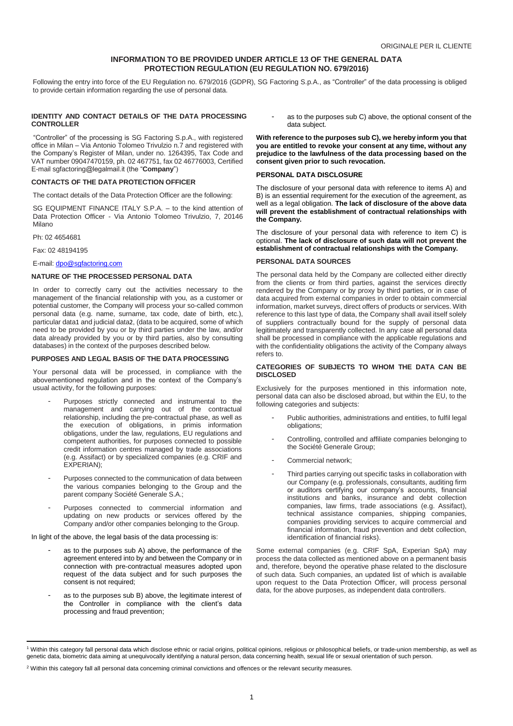## **INFORMATION TO BE PROVIDED UNDER ARTICLE 13 OF THE GENERAL DATA PROTECTION REGULATION (EU REGULATION NO. 679/2016)**

Following the entry into force of the EU Regulation no. 679/2016 (GDPR), SG Factoring S.p.A., as "Controller" of the data processing is obliged to provide certain information regarding the use of personal data.

### **IDENTITY AND CONTACT DETAILS OF THE DATA PROCESSING CONTROLLER**

"Controller" of the processing is SG Factoring S.p.A., with registered office in Milan – Via Antonio Tolomeo Trivulzio n.7 and registered with the Company's Register of Milan, under no. 1264395, Tax Code and VAT number 09047470159, ph. 02 467751, fax 02 46776003, Certified E-mail sgfactoring@legalmail.it (the "**Company**")

# **CONTACTS OF THE DATA PROTECTION OFFICER**

The contact details of the Data Protection Officer are the following:

SG EQUIPMENT FINANCE ITALY S.P.A. – to the kind attention of Data Protection Officer - Via Antonio Tolomeo Trivulzio, 7, 20146 Milano

Ph: 02 4654681

 $\overline{a}$ 

Fax: 02 48194195

E-mail: [dpo@sgfactoring.com](mailto:dpo@sgfactoring.com)

#### **NATURE OF THE PROCESSED PERSONAL DATA**

In order to correctly carry out the activities necessary to the management of the financial relationship with you, as a customer or potential customer, the Company will process your so-called common personal data (e.g. name, surname, tax code, date of birth, etc.), particular data1 and judicial data2, (data to be acquired, some of which need to be provided by you or by third parties under the law, and/or data already provided by you or by third parties, also by consulting databases) in the context of the purposes described below.

#### **PURPOSES AND LEGAL BASIS OF THE DATA PROCESSING**

Your personal data will be processed, in compliance with the abovementioned regulation and in the context of the Company's usual activity, for the following purposes:

- Purposes strictly connected and instrumental to the management and carrying out of the contractual relationship, including the pre-contractual phase, as well as the execution of obligations, in primis information obligations, under the law, regulations, EU regulations and competent authorities, for purposes connected to possible credit information centres managed by trade associations (e.g. Assifact) or by specialized companies (e.g. CRIF and EXPERIAN);
- Purposes connected to the communication of data between the various companies belonging to the Group and the parent company Société Generale S.A.;
- Purposes connected to commercial information and updating on new products or services offered by the Company and/or other companies belonging to the Group.

In light of the above, the legal basis of the data processing is:

- as to the purposes sub A) above, the performance of the agreement entered into by and between the Company or in connection with pre-contractual measures adopted upon request of the data subject and for such purposes the consent is not required;
- as to the purposes sub B) above, the legitimate interest of the Controller in compliance with the client's data processing and fraud prevention;

as to the purposes sub C) above, the optional consent of the data subject.

**With reference to the purposes sub C), we hereby inform you that you are entitled to revoke your consent at any time, without any prejudice to the lawfulness of the data processing based on the consent given prior to such revocation.**

#### **PERSONAL DATA DISCLOSURE**

The disclosure of your personal data with reference to items A) and B) is an essential requirement for the execution of the agreement, as well as a legal obligation. **The lack of disclosure of the above data will prevent the establishment of contractual relationships with the Company.**

The disclosure of your personal data with reference to item C) is optional. **The lack of disclosure of such data will not prevent the establishment of contractual relationships with the Company.**

#### **PERSONAL DATA SOURCES**

The personal data held by the Company are collected either directly from the clients or from third parties, against the services directly rendered by the Company or by proxy by third parties, or in case of data acquired from external companies in order to obtain commercial information, market surveys, direct offers of products or services. With reference to this last type of data, the Company shall avail itself solely of suppliers contractually bound for the supply of personal data legitimately and transparently collected. In any case all personal data shall be processed in compliance with the applicable regulations and with the confidentiality obligations the activity of the Company always refers to.

#### **CATEGORIES OF SUBJECTS TO WHOM THE DATA CAN BE DISCLOSED**

Exclusively for the purposes mentioned in this information note, personal data can also be disclosed abroad, but within the EU, to the following categories and subjects:

- Public authorities, administrations and entities, to fulfil legal obligations;
- Controlling, controlled and affiliate companies belonging to the Société Generale Group;
- Commercial network:
- Third parties carrying out specific tasks in collaboration with our Company (e.g. professionals, consultants, auditing firm or auditors certifying our company's accounts, financial institutions and banks, insurance and debt collection companies, law firms, trade associations (e.g. Assifact), technical assistance companies, shipping companies, companies providing services to acquire commercial and financial information, fraud prevention and debt collection, identification of financial risks).

Some external companies (e.g. CRIF SpA, Experian SpA) may process the data collected as mentioned above on a permanent basis and, therefore, beyond the operative phase related to the disclosure of such data. Such companies, an updated list of which is available upon request to the Data Protection Officer, will process personal data, for the above purposes, as independent data controllers.

<sup>&</sup>lt;sup>1</sup> Within this category fall personal data which disclose ethnic or racial origins, political opinions, religious or philosophical beliefs, or trade-union membership, as well as genetic data, biometric data aiming at unequivocally identifying a natural person, data concerning health, sexual life or sexual orientation of such person.

<sup>&</sup>lt;sup>2</sup> Within this category fall all personal data concerning criminal convictions and offences or the relevant security measures.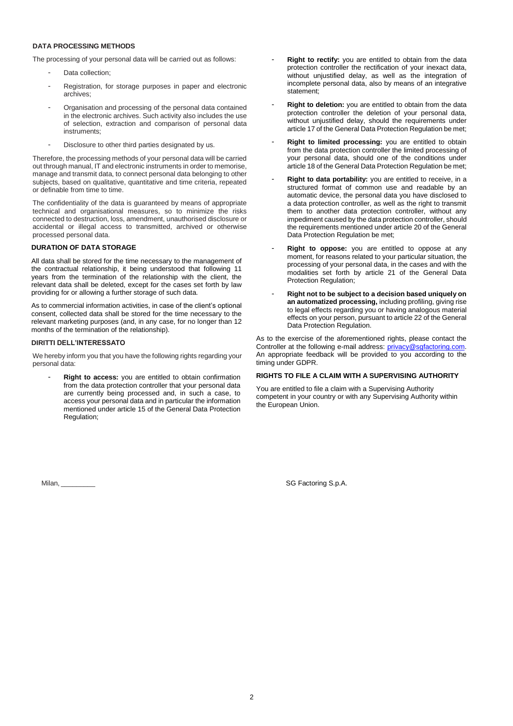# **DATA PROCESSING METHODS**

The processing of your personal data will be carried out as follows:

- Data collection;
- Registration, for storage purposes in paper and electronic archives;
- Organisation and processing of the personal data contained in the electronic archives. Such activity also includes the use of selection, extraction and comparison of personal data instruments;
- Disclosure to other third parties designated by us.

Therefore, the processing methods of your personal data will be carried out through manual, IT and electronic instruments in order to memorise, manage and transmit data, to connect personal data belonging to other subjects, based on qualitative, quantitative and time criteria, repeated or definable from time to time.

The confidentiality of the data is guaranteed by means of appropriate technical and organisational measures, so to minimize the risks connected to destruction, loss, amendment, unauthorised disclosure or accidental or illegal access to transmitted, archived or otherwise processed personal data.

## **DURATION OF DATA STORAGE**

All data shall be stored for the time necessary to the management of the contractual relationship, it being understood that following 11 years from the termination of the relationship with the client, the relevant data shall be deleted, except for the cases set forth by law providing for or allowing a further storage of such data.

As to commercial information activities, in case of the client's optional consent, collected data shall be stored for the time necessary to the relevant marketing purposes (and, in any case, for no longer than 12 months of the termination of the relationship).

#### **DIRITTI DELL'INTERESSATO**

We hereby inform you that you have the following rights regarding your personal data:

Right to access: you are entitled to obtain confirmation from the data protection controller that your personal data are currently being processed and, in such a case, to access your personal data and in particular the information mentioned under article 15 of the General Data Protection Regulation;

Right to rectify: you are entitled to obtain from the data protection controller the rectification of your inexact data, without unjustified delay, as well as the integration of incomplete personal data, also by means of an integrative statement;

- Right to deletion: you are entitled to obtain from the data protection controller the deletion of your personal data, without unjustified delay, should the requirements under article 17 of the General Data Protection Regulation be met;
- Right to limited processing: you are entitled to obtain from the data protection controller the limited processing of your personal data, should one of the conditions under article 18 of the General Data Protection Regulation be met;
- **Right to data portability:** you are entitled to receive, in a structured format of common use and readable by an automatic device, the personal data you have disclosed to a data protection controller, as well as the right to transmit them to another data protection controller, without any impediment caused by the data protection controller, should the requirements mentioned under article 20 of the General Data Protection Regulation be met;
- Right to oppose: you are entitled to oppose at any moment, for reasons related to your particular situation, the processing of your personal data, in the cases and with the modalities set forth by article 21 of the General Data Protection Regulation;
- **Right not to be subject to a decision based uniquely on an automatized processing,** including profiling, giving rise to legal effects regarding you or having analogous material effects on your person, pursuant to article 22 of the General Data Protection Regulation.

As to the exercise of the aforementioned rights, please contact the Controller at the following e-mail address: [privacy@sgfactoring.com.](mailto:privacy@sgfactoring.com) An appropriate feedback will be provided to you according to the timing under GDPR.

## **RIGHTS TO FILE A CLAIM WITH A SUPERVISING AUTHORITY**

You are entitled to file a claim with a Supervising Authority competent in your country or with any Supervising Authority within the European Union.

Milan, \_\_\_\_\_\_\_\_\_ SG Factoring S.p.A.